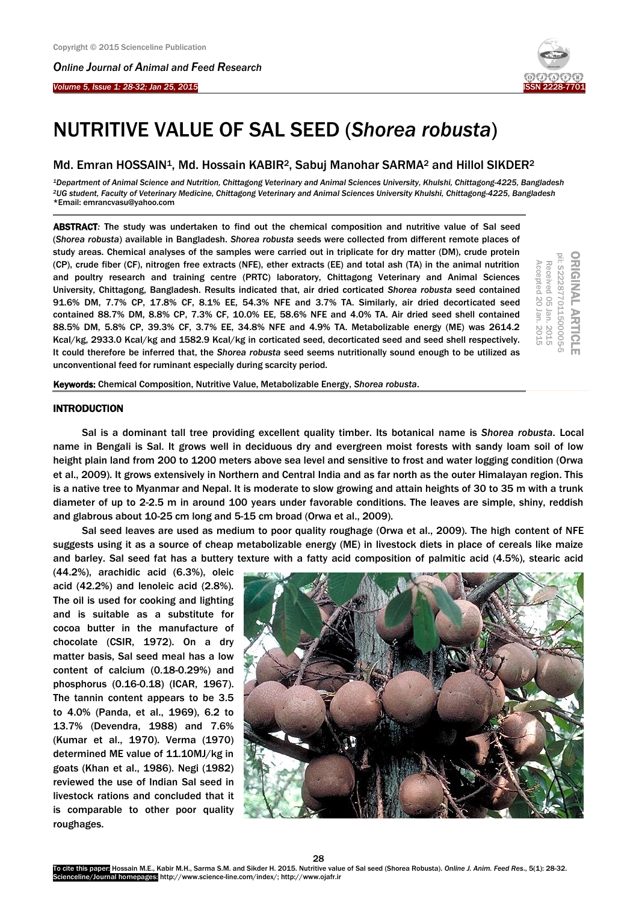*Online Journal of A[nimal and](http://www.ojafr.ir/main/) Feed Research*





# NUTRITIVE VALUE OF SAL SEED (*Shorea robusta*)

# Md. Emran HOSSAIN<sup>1</sup>, Md. Hossain KABIR<sup>2</sup>, Sabuj Manohar SARMA<sup>2</sup> and Hillol SIKDER<sup>2</sup>

*<sup>1</sup>Department of Animal Science and Nutrition, Chittagong Veterinary and Animal Sciences University, Khulshi, Chittagong-4225, Bangladesh <sup>2</sup>UG student, Faculty of Veterinary Medicine, Chittagong Veterinary and Animal Sciences University Khulshi, Chittagong-4225, Bangladesh* \*Email: emrancvasu@yahoo.com

ABSTRACT*:* The study was undertaken to find out the chemical composition and nutritive value of Sal seed (*Shorea robusta*) available in Bangladesh. *Shorea robusta* seeds were collected from different remote places of study areas. Chemical analyses of the samples were carried out in triplicate for dry matter (DM), crude protein (CP), crude fiber (CF), nitrogen free extracts (NFE), ether extracts (EE) and total ash (TA) in the animal nutrition and poultry research and training centre (PRTC) laboratory, Chittagong Veterinary and Animal Sciences University, Chittagong, Bangladesh. Results indicated that, air dried corticated *Shorea robusta* seed contained 91.6% DM, 7.7% CP, 17.8% CF, 8.1% EE, 54.3% NFE and 3.7% TA. Similarly, air dried decorticated seed contained 88.7% DM, 8.8% CP, 7.3% CF, 10.0% EE, 58.6% NFE and 4.0% TA. Air dried seed shell contained 88.5% DM, 5.8% CP, 39.3% CF, 3.7% EE, 34.8% NFE and 4.9% TA. Metabolizable energy (ME) was 2614.2 Kcal/kg, 2933.0 Kcal/kg and 1582.9 Kcal/kg in corticated seed, decorticated seed and seed shell respectively. It could therefore be inferred that, the *Shorea robusta* seed seems nutritionally sound enough to be utilized as unconventional feed for ruminant especially during scarcity period.

Keywords: Chemical Composition, Nutritive Value, Metabolizable Energy, *Shorea robusta*.

# **INTRODUCTION**

Sal is a dominant tall tree providing excellent quality timber. Its botanical name is *Shorea robusta*. Local name in Bengali is Sal. It grows well in deciduous dry and evergreen moist forests with sandy loam soil of low height plain land from 200 to 1200 meters above sea level and sensitive to frost and water logging condition (Orwa et al., 2009). It grows extensively in Northern and Central India and as far north as the outer Himalayan region. This is a native tree to Myanmar and Nepal. It is moderate to slow growing and attain heights of 30 to 35 m with a trunk diameter of up to 2-2.5 m in around 100 years under favorable conditions. The leaves are simple, shiny, reddish and glabrous about 10-25 cm long and 5-15 cm broad (Orwa et al., 2009).

Sal seed leaves are used as medium to poor quality roughage (Orwa et al., 2009). The high content of NFE suggests using it as a source of cheap metabolizable energy (ME) in livestock diets in place of cereals like maize and barley. Sal seed fat has a buttery texture with a fatty acid composition of palmitic acid (4.5%), stearic acid

(44.2%), arachidic acid (6.3%), oleic acid (42.2%) and lenoleic acid (2.8%). The oil is used for cooking and lighting and is suitable as a substitute for cocoa butter in the manufacture of chocolate (CSIR, 1972). On a dry matter basis, Sal seed meal has a low content of calcium (0.18-0.29%) and phosphorus (0.16-0.18) (ICAR, 1967). The tannin content appears to be 3.5 to 4.0% (Panda, et al., 1969), 6.2 to 13.7% (Devendra, 1988) and 7.6% (Kumar et al., 1970). Verma (1970) determined ME value of 11.10MJ/kg in goats (Khan et al., 1986). Negi (1982) reviewed the use of Indian Sal seed in livestock rations and concluded that it is comparable to other poor quality roughages.



28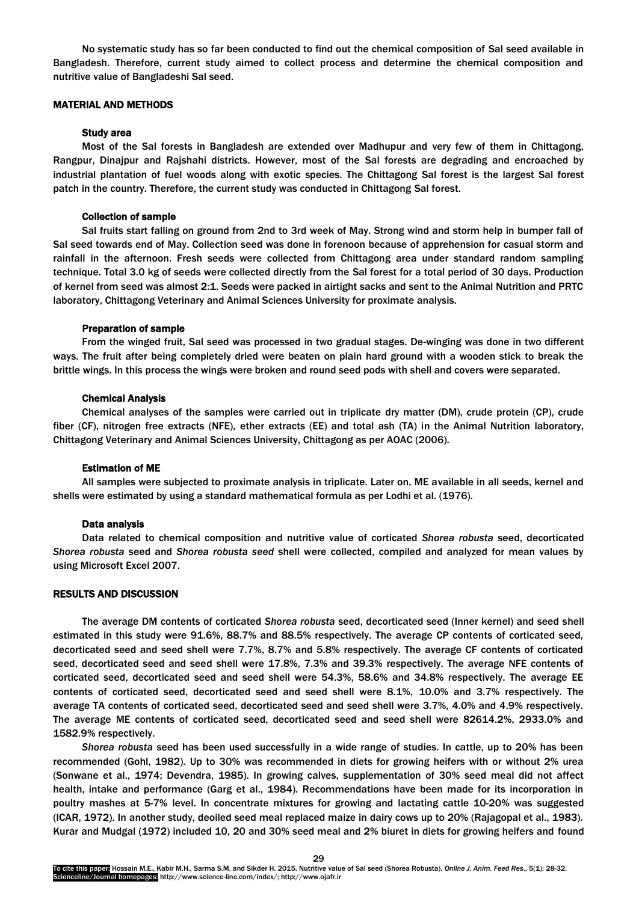No systematic study has so far been conducted to find out the chemical composition of Sal seed available in Bangladesh. Therefore, current study aimed to collect process and determine the chemical composition and nutritive value of Bangladeshi Sal seed.

## MATERIAL AND METHODS

#### Study area

Most of the Sal forests in Bangladesh are extended over Madhupur and very few of them in Chittagong, Rangpur, Dinajpur and Rajshahi districts. However, most of the Sal forests are degrading and encroached by industrial plantation of fuel woods along with exotic species. The Chittagong Sal forest is the largest Sal forest patch in the country. Therefore, the current study was conducted in Chittagong Sal forest.

### Collection of sample

Sal fruits start falling on ground from 2nd to 3rd week of May. Strong wind and storm help in bumper fall of Sal seed towards end of May. Collection seed was done in forenoon because of apprehension for casual storm and rainfall in the afternoon. Fresh seeds were collected from Chittagong area under standard random sampling technique. Total 3.0 kg of seeds were collected directly from the Sal forest for a total period of 30 days. Production of kernel from seed was almost 2:1. Seeds were packed in airtight sacks and sent to the Animal Nutrition and PRTC laboratory, Chittagong Veterinary and Animal Sciences University for proximate analysis.

#### Preparation of sample

From the winged fruit, Sal seed was processed in two gradual stages. De-winging was done in two different ways. The fruit after being completely dried were beaten on plain hard ground with a wooden stick to break the brittle wings. In this process the wings were broken and round seed pods with shell and covers were separated.

#### Chemical Analysis

Chemical analyses of the samples were carried out in triplicate dry matter (DM), crude protein (CP), crude fiber (CF), nitrogen free extracts (NFE), ether extracts (EE) and total ash (TA) in the Animal Nutrition laboratory, Chittagong Veterinary and Animal Sciences University, Chittagong as per AOAC (2006).

# Estimation of ME

All samples were subjected to proximate analysis in triplicate. Later on, ME available in all seeds, kernel and shells were estimated by using a standard mathematical formula as per Lodhi et al. (1976).

## Data analysis

Data related to chemical composition and nutritive value of corticated *Shorea robusta* seed, decorticated *Shorea robusta* seed and *Shorea robusta seed* shell were collected, compiled and analyzed for mean values by using Microsoft Excel 2007.

# RESULTS AND DISCUSSION

The average DM contents of corticated *Shorea robusta* seed, decorticated seed (Inner kernel) and seed shell estimated in this study were 91.6%, 88.7% and 88.5% respectively. The average CP contents of corticated seed, decorticated seed and seed shell were 7.7%, 8.7% and 5.8% respectively. The average CF contents of corticated seed, decorticated seed and seed shell were 17.8%, 7.3% and 39.3% respectively. The average NFE contents of corticated seed, decorticated seed and seed shell were 54.3%, 58.6% and 34.8% respectively. The average EE contents of corticated seed, decorticated seed and seed shell were 8.1%, 10.0% and 3.7% respectively. The average TA contents of corticated seed, decorticated seed and seed shell were 3.7%, 4.0% and 4.9% respectively. The average ME contents of corticated seed, decorticated seed and seed shell were 82614.2%, 2933.0% and 1582.9% respectively.

*Shorea robusta* seed has been used successfully in a wide range of studies. In cattle, up to 20% has been recommended (Gohl, 1982). Up to 30% was recommended in diets for growing heifers with or without 2% urea (Sonwane et al., 1974; Devendra, 1985). In growing calves, supplementation of 30% seed meal did not affect health, intake and performance (Garg et al., 1984). Recommendations have been made for its incorporation in poultry mashes at 5-7% level. In concentrate mixtures for growing and lactating cattle 10-20% was suggested (ICAR, 1972). In another study, deoiled seed meal replaced maize in dairy cows up to 20% (Rajagopal et al., 1983). Kurar and Mudgal (1972) included 10, 20 and 30% seed meal and 2% biuret in diets for growing heifers and found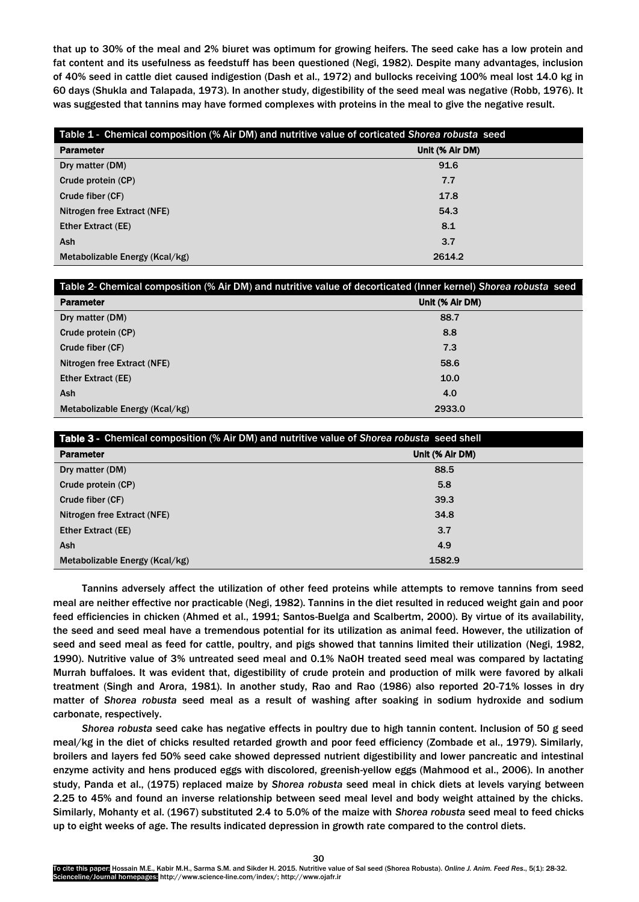that up to 30% of the meal and 2% biuret was optimum for growing heifers. The seed cake has a low protein and fat content and its usefulness as feedstuff has been questioned (Negi, 1982). Despite many advantages, inclusion of 40% seed in cattle diet caused indigestion (Dash et al., 1972) and bullocks receiving 100% meal lost 14.0 kg in 60 days (Shukla and Talapada, 1973). In another study, digestibility of the seed meal was negative (Robb, 1976). It was suggested that tannins may have formed complexes with proteins in the meal to give the negative result.

| Table 1 - Chemical composition (% Air DM) and nutritive value of corticated Shorea robusta seed |                 |  |
|-------------------------------------------------------------------------------------------------|-----------------|--|
| <b>Parameter</b>                                                                                | Unit (% Air DM) |  |
| Dry matter (DM)                                                                                 | 91.6            |  |
| Crude protein (CP)                                                                              | 7.7             |  |
| Crude fiber (CF)                                                                                | 17.8            |  |
| Nitrogen free Extract (NFE)                                                                     | 54.3            |  |
| <b>Ether Extract (EE)</b>                                                                       | 8.1             |  |
| Ash                                                                                             | 3.7             |  |
| Metabolizable Energy (Kcal/kg)                                                                  | 2614.2          |  |

| Table 2- Chemical composition (% Air DM) and nutritive value of decorticated (Inner kernel) Shorea robusta seed |                 |
|-----------------------------------------------------------------------------------------------------------------|-----------------|
| <b>Parameter</b>                                                                                                | Unit (% Air DM) |
| Dry matter (DM)                                                                                                 | 88.7            |
| Crude protein (CP)                                                                                              | 8.8             |
| Crude fiber (CF)                                                                                                | 7.3             |
| Nitrogen free Extract (NFE)                                                                                     | 58.6            |
| <b>Ether Extract (EE)</b>                                                                                       | 10.0            |
| <b>Ash</b>                                                                                                      | 4.0             |
| Metabolizable Energy (Kcal/kg)                                                                                  | 2933.0          |

| <b>Table 3 - Chemical composition (% Air DM) and nutritive value of Shorea robusta seed shell</b> |                 |  |
|---------------------------------------------------------------------------------------------------|-----------------|--|
| <b>Parameter</b>                                                                                  | Unit (% Air DM) |  |
| Dry matter (DM)                                                                                   | 88.5            |  |
| Crude protein (CP)                                                                                | 5.8             |  |
| Crude fiber (CF)                                                                                  | 39.3            |  |
| Nitrogen free Extract (NFE)                                                                       | 34.8            |  |
| <b>Ether Extract (EE)</b>                                                                         | 3.7             |  |
| Ash                                                                                               | 4.9             |  |
| Metabolizable Energy (Kcal/kg)                                                                    | 1582.9          |  |

Tannins adversely affect the utilization of other feed proteins while attempts to remove tannins from seed meal are neither effective nor practicable (Negi, 1982). Tannins in the diet resulted in reduced weight gain and poor feed efficiencies in chicken (Ahmed et al., 1991; Santos-Buelga and Scalbertm, 2000). By virtue of its availability, the seed and seed meal have a tremendous potential for its utilization as animal feed. However, the utilization of seed and seed meal as feed for cattle, poultry, and pigs showed that tannins limited their utilization (Negi, 1982, 1990). Nutritive value of 3% untreated seed meal and 0.1% NaOH treated seed meal was compared by lactating Murrah buffaloes. It was evident that, digestibility of crude protein and production of milk were favored by alkali treatment (Singh and Arora, 1981). In another study, Rao and Rao (1986) also reported 20-71% losses in dry matter of *Shorea robusta* seed meal as a result of washing after soaking in sodium hydroxide and sodium carbonate, respectively.

*Shorea robusta* seed cake has negative effects in poultry due to high tannin content. Inclusion of 50 g seed meal/kg in the diet of chicks resulted retarded growth and poor feed efficiency (Zombade et al., 1979). Similarly, broilers and layers fed 50% seed cake showed depressed nutrient digestibility and lower pancreatic and intestinal enzyme activity and hens produced eggs with discolored, greenish-yellow eggs (Mahmood et al., 2006). In another study, Panda et al., (1975) replaced maize by *Shorea robusta* seed meal in chick diets at levels varying between 2.25 to 45% and found an inverse relationship between seed meal level and body weight attained by the chicks. Similarly, Mohanty et al. (1967) substituted 2.4 to 5.0% of the maize with *Shorea robusta* seed meal to feed chicks up to eight weeks of age. The results indicated depression in growth rate compared to the control diets.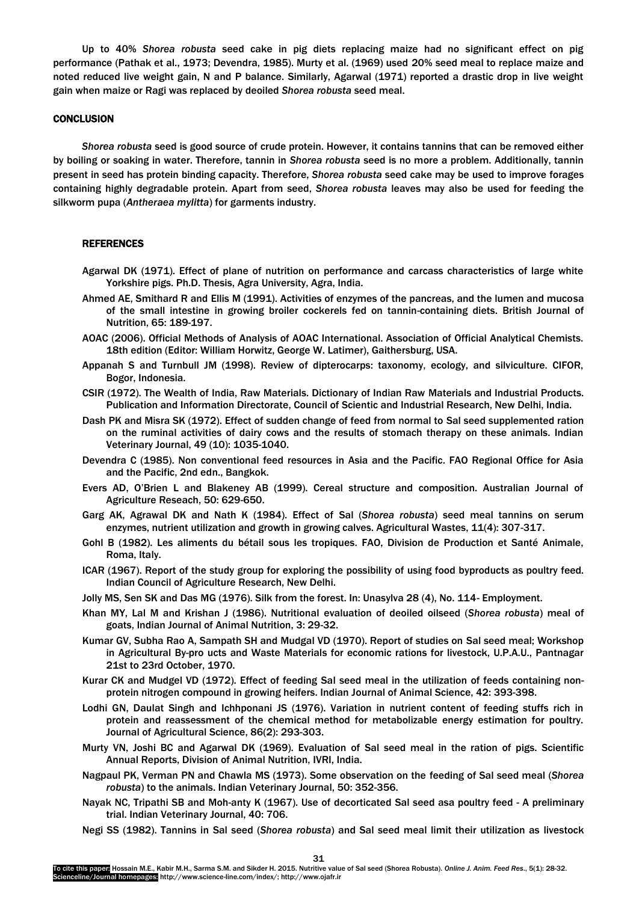Up to 40% *Shorea robusta* seed cake in pig diets replacing maize had no significant effect on pig performance (Pathak et al., 1973; Devendra, 1985). Murty et al. (1969) used 20% seed meal to replace maize and noted reduced live weight gain, N and P balance. Similarly, Agarwal (1971) reported a drastic drop in live weight gain when maize or Ragi was replaced by deoiled *Shorea robusta* seed meal.

# **CONCLUSION**

*Shorea robusta* seed is good source of crude protein. However, it contains tannins that can be removed either by boiling or soaking in water. Therefore, tannin in *Shorea robusta* seed is no more a problem. Additionally, tannin present in seed has protein binding capacity. Therefore, *Shorea robusta* seed cake may be used to improve forages containing highly degradable protein. Apart from seed, *Shorea robusta* leaves may also be used for feeding the silkworm pupa (*Antheraea mylitta*) for garments industry.

# **REFERENCES**

- Agarwal DK (1971). Effect of plane of nutrition on performance and carcass characteristics of large white Yorkshire pigs. Ph.D. Thesis, Agra University, Agra, India.
- Ahmed AE, Smithard R and Ellis M (1991). Activities of enzymes of the pancreas, and the lumen and mucosa of the small intestine in growing broiler cockerels fed on tannin-containing diets. British Journal of Nutrition, 65: 189-197.
- AOAC (2006). Official Methods of Analysis of AOAC International. Association of Official Analytical Chemists. 18th edition (Editor: William Horwitz, George W. Latimer), Gaithersburg, USA.
- Appanah S and Turnbull JM (1998). Review of dipterocarps: taxonomy, ecology, and silviculture. CIFOR, Bogor, Indonesia.
- CSIR (1972). The Wealth of India, Raw Materials. Dictionary of Indian Raw Materials and Industrial Products. Publication and Information Directorate, Council of Scientic and Industrial Research, New Delhi, India.
- Dash PK and Misra SK (1972). Effect of sudden change of feed from normal to Sal seed supplemented ration on the ruminal activities of dairy cows and the results of stomach therapy on these animals. Indian Veterinary Journal, 49 (10): 1035-1040.
- Devendra C (1985). Non conventional feed resources in Asia and the Pacific. FAO Regional Office for Asia and the Pacific, 2nd edn., Bangkok.
- Evers AD, O'Brien L and Blakeney AB (1999). Cereal structure and composition. Australian Journal of Agriculture Reseach, 50: 629-650.
- Garg AK, Agrawal DK and Nath K (1984). Effect of Sal (*Shorea robusta*) seed meal tannins on serum enzymes, nutrient utilization and growth in growing calves. Agricultural Wastes, 11(4): 307-317.
- Gohl B (1982). Les aliments du bétail sous les tropiques. FAO, Division de Production et Santé Animale, Roma, Italy.
- ICAR (1967). Report of the study group for exploring the possibility of using food byproducts as poultry feed. Indian Council of Agriculture Research, New Delhi.
- Jolly MS, Sen SK and Das MG (1976). Silk from the forest. In: Unasylva 28 (4), No. 114- Employment.
- Khan MY, Lal M and Krishan J (1986). Nutritional evaluation of deoiled oilseed (*Shorea robusta*) meal of goats, Indian Journal of Animal Nutrition, 3: 29-32.
- Kumar GV, Subha Rao A, Sampath SH and Mudgal VD (1970). Report of studies on Sal seed meal; Workshop in Agricultural By-pro ucts and Waste Materials for economic rations for livestock, U.P.A.U., Pantnagar 21st to 23rd October, 1970.
- Kurar CK and Mudgel VD (1972). Effect of feeding Sal seed meal in the utilization of feeds containing nonprotein nitrogen compound in growing heifers. Indian Journal of Animal Science, 42: 393-398.
- Lodhi GN, Daulat Singh and Ichhponani JS (1976). Variation in nutrient content of feeding stuffs rich in protein and reassessment of the chemical method for metabolizable energy estimation for poultry. Journal of Agricultural Science, 86(2): 293-303.
- Murty VN, Joshi BC and Agarwal DK (1969). Evaluation of Sal seed meal in the ration of pigs. Scientific Annual Reports, Division of Animal Nutrition, IVRI, India.
- Nagpaul PK, Verman PN and Chawla MS (1973). Some observation on the feeding of Sal seed meal (*Shorea robusta*) to the animals. Indian Veterinary Journal, 50: 352-356.
- Nayak NC, Tripathi SB and Moh-anty K (1967). Use of decorticated Sal seed asa poultry feed A preliminary trial. Indian Veterinary Journal, 40: 706.
- Negi SS (1982). Tannins in Sal seed (*Shorea robusta*) and Sal seed meal limit their utilization as livestock

31